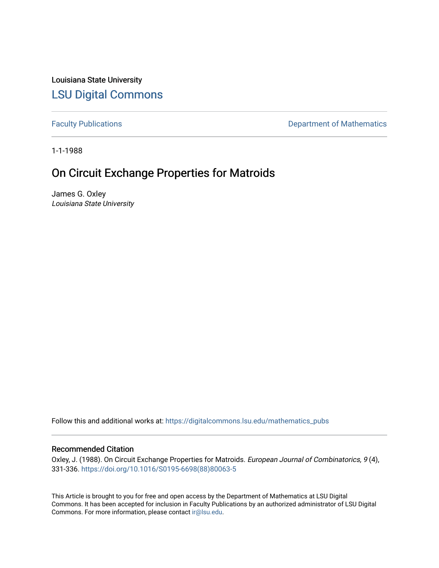Louisiana State University [LSU Digital Commons](https://digitalcommons.lsu.edu/)

[Faculty Publications](https://digitalcommons.lsu.edu/mathematics_pubs) **Exercise 2** Constructions **Department of Mathematics** 

1-1-1988

# On Circuit Exchange Properties for Matroids

James G. Oxley Louisiana State University

Follow this and additional works at: [https://digitalcommons.lsu.edu/mathematics\\_pubs](https://digitalcommons.lsu.edu/mathematics_pubs?utm_source=digitalcommons.lsu.edu%2Fmathematics_pubs%2F1285&utm_medium=PDF&utm_campaign=PDFCoverPages)

# Recommended Citation

Oxley, J. (1988). On Circuit Exchange Properties for Matroids. European Journal of Combinatorics, 9(4), 331-336. [https://doi.org/10.1016/S0195-6698\(88\)80063-5](https://doi.org/10.1016/S0195-6698(88)80063-5) 

This Article is brought to you for free and open access by the Department of Mathematics at LSU Digital Commons. It has been accepted for inclusion in Faculty Publications by an authorized administrator of LSU Digital Commons. For more information, please contact [ir@lsu.edu](mailto:ir@lsu.edu).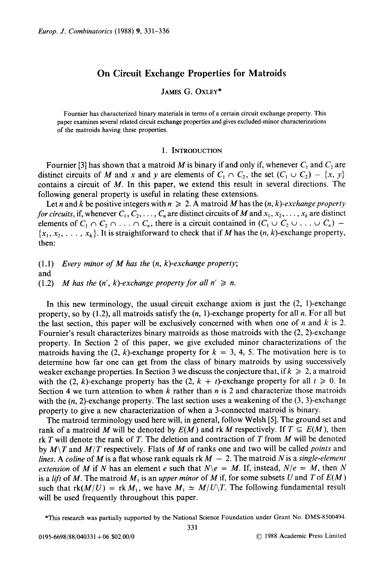# On Circuit Exchange Properties for Matroids

## JAMES G. OXLEY\*

Fournier has characterized binary materials in terms of a certain circuit exchange property. This paper examines several related circuit exchange properties and gives excluded-minor characterizations of the matroids having these properties.

#### 1. INTRODUCTION

Fournier [3] has shown that a matroid *M* is binary if and only if, whenever  $C_1$  and  $C_2$  are distinct circuits of *M* and *x* and *y* are elements of  $C_1 \cap C_2$ , the set  $(C_1 \cup C_2) - \{x, y\}$ contains a circuit of *M .* In this paper, we extend this result in several directions. The following general property is useful in relating these extensions.

Let *n* and *k* be positive integers with  $n \ge 2$ . A matroid *M* has the  $(n, k)$ -exchange property *for circuits,* if, whenever  $C_1, C_2, \ldots, C_n$  are distinct circuits of M and  $x_1, x_2, \ldots, x_k$  are distinct elements of  $C_1 \cap C_2 \cap \ldots \cap C_n$ , there is a circuit contained in  $(C_1 \cup C_2 \cup \ldots \cup C_n)$  - $\{x_1, x_2, \ldots, x_k\}$ . It is straightforward to check that if *M* has the  $(n, k)$ -exchange property, then:

(l.l) *Every minor of M has the (n, k)-exchange property;* and  $(1.2)$  *M* has the  $(n', k)$ -exchange property for all  $n' \ge n$ .

In this new terminology, the usual circuit exchange axiom is just the (2, I)-exchange property, so by (1.2), all matroids satisfy the *(n,* I)-exchange property for all *n.* For all but the last section, this paper will be exclusively concerned with when one of  $n$  and  $k$  is 2. Fournier's result characterizes binary matroids as those matroids with the (2, 2)-exchange property. In Section 2 of this paper, we give excluded minor characterizations of the matroids having the  $(2, k)$ -exchange property for  $k = 3, 4, 5$ . The motivation here is to determine how far one can get from the class of binary matroids by using successively weaker exchange properties. In Section 3 we discuss the conjecture that, if  $k \geq 2$ , a matroid with the (2, k)-exchange property has the (2,  $k + t$ )-exchange property for all  $t \ge 0$ . In Section 4 we turn attention to when *k* rather than *n* is 2 and characterize those matroids with the  $(n, 2)$ -exchange property. The last section uses a weakening of the  $(3, 3)$ -exchange property to give a new characterization of when a 3-connected matroid is binary.

The matroid terminology used here will, in general, follow Welsh [5]. The ground set and rank of a matroid *M* will be denoted by  $E(M)$  and rk *M* respectively. If  $T \subseteq E(M)$ , then rk *T* will denote the rank of *T.* The deletion and contraction of *T* from *M* will be denoted by *M \T* and *M jT* respectively . Flats of *M* of ranks one and two will be called *points* and *lines.* A *coline* of *M* is a flat whose rank equals  $rk M - 2$ . The matroid *N* is a *single-element extension* of *M* if *N* has an element *e* such that  $N \e e = M$ . If, instead,  $N/e = M$ , then N is a *lift* of *M*. The matroid  $M_1$  is an *upper* minor of *M* if, for some subsets *U* and *T* of  $E(M)$ such that  $rk(M/U) = rk M_1$ , we have  $M_1 \simeq M/U\backslash T$ . The following fundamental result will be used frequently throughout this paper.

-This research was partially supported by the National Science Foundation under Grant No. DMS-8500494.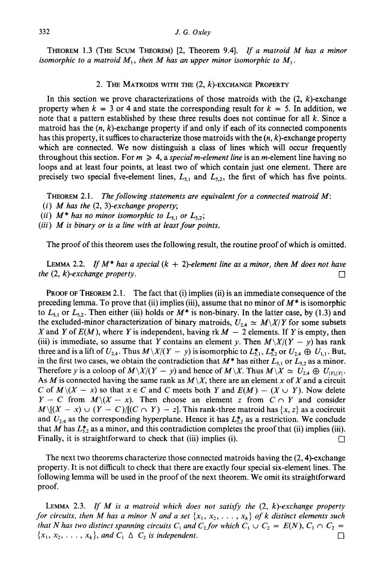THEOREM 1.3 (THE SCUM THEOREM) [2, Theorem 9.4]. *If <sup>a</sup> matroid M has a minor isomorphic to a matroid*  $M_1$ , then M has an upper minor isomorphic to  $M_1$ .

#### 2. THE MATROIDS WITH THE  $(2, k)$ -EXCHANGE PROPERTY

In this section we prove characterizations of those matroids with the  $(2, k)$ -exchange property when  $k = 3$  or 4 and state the corresponding result for  $k = 5$ . In addition, we note that a pattern established by these three results does not continue for all *k.* Since a matroid has the  $(n, k)$ -exchange property if and only if each of its connected components has this property, it suffices to characterize those matroids with the  $(n, k)$ -exchange property which are connected. We now distinguish a class of lines which will occur frequently throughout this section. For  $m \geq 4$ , a *special m-element line* is an *m*-element line having no loops and at least four points, at least two of which contain just one element. There are precisely two special five-element lines,  $L_{5,1}$  and  $L_{5,2}$ , the first of which has five points.

THEOREM 2.1. *The following statements are equivalent for a connected matroid M:*

- (i) *M has the* (2, *3)-exchange property;*
- (*ii*)  $M^*$  has no minor isomorphic to  $L_{5,1}$  or  $L_{5,2}$ ;
- (iii) *M is binary or is a line with at least four points.*

The proof of this theorem uses the following result, the routine proof of which is omitted.

LEMMA 2.2. *If M\* has a special (k* + *2)-element line as a minor, then M does not have the*  $(2, k)$ -exchange property.

PROOF OF THEOREM 2.1. The fact that (i) implies (ii) is an immediate consequence of the preceding lemma. To prove that (ii) implies (iii), assume that no minor of *M\** is isomorphic to  $L_{5,1}$  or  $L_{5,2}$ . Then either (iii) holds or  $M^*$  is non-binary. In the latter case, by (1.3) and the excluded-minor characterization of binary matroids,  $U_{2,4} \simeq M\sqrt{\frac{X}{Y}}$  for some subsets *X* and *Y* of  $E(M)$ , where *Y* is independent, having rk  $M - 2$  elements. If *Y* is empty, then (iii) is immediate, so assume that *Y* contains an element *y*. Then  $M\lambda/(Y - y)$  has rank three and is a lift of  $U_{2,4}$ . Thus  $M\setminus X/(Y - y)$  is isomorphic to  $L_{5,1}^*$ ,  $L_{5,2}^*$  or  $U_{2,4} \oplus U_{1,1}$ . But, in the first two cases, we obtain the contradiction that  $M^*$  has either  $L_{5,1}$  or  $L_{5,2}$  as a minor. Therefore *y* is a coloop of  $M\setminus X/(Y - y)$  and hence of  $M\setminus X$ . Thus  $M\setminus X \simeq U_{2,4} \oplus U_{|Y|,|Y|}$ . As *M* is connected having the same rank as  $M\setminus X$ , there are an element *x* of *X* and a circuit C of  $M\setminus (X - x)$  so that  $x \in C$  and C meets both Y and  $E(M) - (X \cup Y)$ . Now delete *Y* - *C* from  $M\{(X - x)$ . Then choose an element *z* from  $C \cap Y$  and consider  $M\{(X - x) \cup (Y - C)/[(C \cap Y) - z]$ . This rank-three matroid has  $\{x, z\}$  as a cocircuit and  $U_{2,4}$  as the corresponding hyperplane. Hence it has  $L_{2,2}^*$  as a restriction. We conclude that *M* has  $L_{2,2}^{*}$  as a minor, and this contradiction completes the proof that (ii) implies (iii). Finally, it is straightforward to check that (iii) implies (i).  $\Box$ 

The next two theorems characterize those connected matroids having the (2, 4)-exchange property, It is not difficult to check that there are exactly four special six-element lines. The following lemma will be used in the proof of the next theorem. We omit its straightforward proof.

LEMMA 2.3. *If M is a matroid which does not satisfy the* (2, *k)-exchange property for circuits, then M has a minor N and a set*  $\{x_1, x_2, \ldots, x_k\}$  *of k distinct elements such that N* has two distinct spanning circuits  $C_1$  and  $C_2$  for which  $C_1 \cup C_2 = E(N)$ ,  $C_1 \cap C_2 =$  ${x_1, x_2, \ldots, x_k}$ , and  $C_1 \Delta C_2$  *is independent.*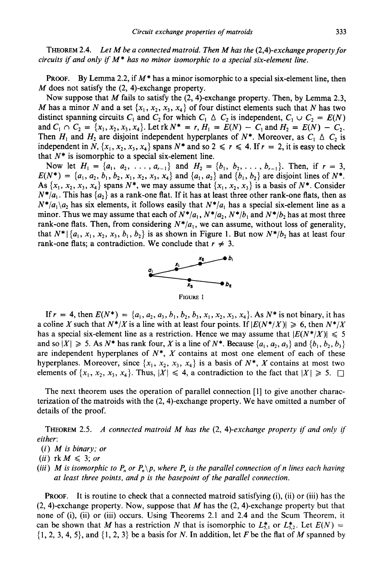THEOREM 2.4. *Let M he a connectedmatroid. Then M has the (2,4)-exchangepropertyfor circuits if and only if M\* has no minor isomorphic to a special six-element line.*

PROOF. By Lemma 2.2, if *M\** has a minor isomorphic to a special six-element line, then *M* does not satisfy the (2, 4)-exchange property.

Now suppose that *M* fails to satisfy the (2, 4)-exchange property. Then, by Lemma 2.3, *M* has a minor *N* and a set  $\{x_1, x_2, x_3, x_4\}$  of four distinct elements such that *N* has two distinct spanning circuits  $C_1$  and  $C_2$  for which  $C_1 \triangle C_2$  is independent,  $C_1 \cup C_2 = E(N)$ and  $C_1 \cap C_2 = \{x_1, x_2, x_3, x_4\}$ . Let  $\text{rk } N^* = r$ ,  $H_1 = E(N) - C_1$  and  $H_2 = E(N) - C_2$ . Then  $H_1$  and  $H_2$  are disjoint independent hyperplanes of  $N^*$ . Moreover, as  $C_1 \triangle C_2$  is independent in *N*,  $\{x_1, x_2, x_3, x_4\}$  spans  $N^*$  and so  $2 \le r \le 4$ . If  $r = 2$ , it is easy to check that  $N^*$  is isomorphic to a special six-element line.

Now let  $H_1 = \{a_1, a_2, \ldots, a_{r-1}\}\$  and  $H_2 = \{b_1, b_2, \ldots, b_{r-1}\}\$ . Then, if  $r = 3$ ,  $E(N^*) = \{a_1, a_2, b_1, b_2, x_1, x_2, x_3, x_4\}$  and  $\{a_1, a_2\}$  and  $\{b_1, b_2\}$  are disjoint lines of  $N^*$ . As  $\{x_1, x_2, x_3, x_4\}$  spans  $N^*$ , we may assume that  $\{x_1, x_2, x_3\}$  is a basis of  $N^*$ . Consider  $N^*/a_1$ . This has  $\{a_2\}$  as a rank-one flat. If it has at least three other rank-one flats, then as  $N^*/a_1 \backslash a_2$  has six elements, it follows easily that  $N^*/a_1$  has a special six-element line as a minor. Thus we may assume that each of  $N^*/a_1$ ,  $N^*/a_2$ ,  $N^*/b_1$  and  $N^*/b_2$  has at most three rank-one flats. Then, from considering  $N^*/a_1$ , we can assume, without loss of generality, that  $N^*$   $\{a_1, x_1, x_2, x_3, b_1, b_2\}$  is as shown in Figure 1. But now  $N^*/b_2$  has at least four rank-one flats; a contradiction. We conclude that  $r \neq 3$ .



FIGURE 1

If  $r = 4$ , then  $E(N^*) = \{a_1, a_2, a_3, b_1, b_2, b_3, x_1, x_2, x_3, x_4\}$ . As  $N^*$  is not binary, it has a coline X such that  $N^*/X$  is a line with at least four points. If  $|E(N^*/X)| \ge 6$ , then  $N^*/X$ has a special six-element line as a restriction. Hence we may assume that  $|E(N^*|X)| \leq 5$ and so  $|X| \ge 5$ . As  $N^*$  has rank four, X is a line of  $N^*$ . Because  $\{a_1, a_2, a_3\}$  and  $\{b_1, b_2, b_3\}$ are independent hyperplanes of  $N^*$ ,  $X$  contains at most one element of each of these hyperplanes. Moreover, since  $\{x_1, x_2, x_3, x_4\}$  is a basis of  $N^*$ , X contains at most two elements of  $\{x_1, x_2, x_3, x_4\}$ . Thus,  $|X| \le 4$ , a contradiction to the fact that  $|X| \ge 5$ .

The next theorem uses the operation of parallel connection [1] to give another characterization of the matroids with the (2, 4)-exchange property. We have omitted a number of details of the proof.

THEOREM 2.5. *A connected matroid M has the* (2, *4)-exchange property if and only if either:*

- (i) *M is binary; or*
- $(ii)$  rk  $M \leqslant 3$ ; or
- *(iii) M* is isomorphic to  $P_n$  or  $P_n \backslash p$ , where  $P_n$  is the parallel connection of n lines each having *at least three points, and p is the basepoint of the parallel connection.*

PROOF. It is routine to check that a connected matroid satisfying (i), (ii) or (iii) has the (2, 4)-exchange property. Now, suppose that *M* has the (2, 4)-exchange property but that none of (i), (ii) or (iii) occurs. Using Theorems 2.1 and 2.4 and the Scum Theorem, it can be shown that *M* has a restriction *N* that is isomorphic to  $L_{5,1}^{*}$  or  $L_{5,2}^{*}$ . Let  $E(N)$  = {I, 2, 3, 4, 5}, and {I, 2, 3} be a basis for *N.* In addition, let *F* be the flat of *M* spanned by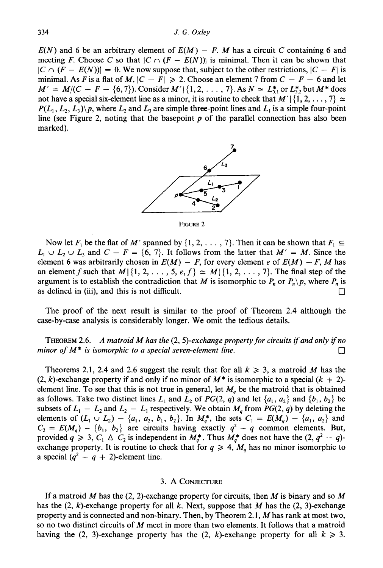$E(N)$  and 6 be an arbitrary element of  $E(M) - F$ . M has a circuit C containing 6 and meeting *F*. Choose C so that  $|C \cap (F - E(N))|$  is minimal. Then it can be shown that  $|C \cap (F - E(N))| = 0$ . We now suppose that, subject to the other restrictions,  $|C - F|$  is minimal. As *F* is a flat of *M*,  $|C - F| \ge 2$ . Choose an element 7 from  $C - F - 6$  and let  $M' = M/(C - F - \{6, 7\})$ . Consider  $M'|\{1, 2, ..., 7\}$ . As  $N \simeq L_{5,1}^*$  or  $L_{5,2}^*$  but  $M^*$  does not have a special six-element line as a minor, it is routine to check that  $M' \mid \{1, 2, ..., 7\} \simeq$  $P(L_1, L_2, L_3)$ , where  $L_2$  and  $L_3$  are simple three-point lines and  $L_1$  is a simple four-point line (see Figure 2, noting that the basepoint  $p$  of the parallel connection has also been marked).



FIGURE 2

Now let  $F_1$  be the flat of M' spanned by  $\{1, 2, \ldots, 7\}$ . Then it can be shown that  $F_1 \subseteq$  $L_1 \cup L_2 \cup L_3$  and  $C - F = \{6, 7\}$ . It follows from the latter that  $M' = M$ . Since the element 6 was arbitrarily chosen in  $E(M) - F$ , for every element *e* of  $E(M) - F$ , *M* has an element f such that  $M \mid \{1, 2, \ldots, 5, e, f\} \simeq M \mid \{1, 2, \ldots, 7\}$ . The final step of the argument is to establish the contradiction that *M* is isomorphic to  $P_n$  or  $P_n \backslash p$ , where  $P_n$  is as defined in (iii), and this is not difficult.  $\Box$ 

The proof of the next result is similar to the proof of Theorem 2.4 although the case-by-case analysis is considerably longer. We omit the tedious details.

THEOREM 2.6. *A matroid M has the* (2, *5)-exchange property for circuits ifand only ifno minor* of  $M^*$  *is isomorphic to a special seven-element line.* 

Theorems 2.1, 2.4 and 2.6 suggest the result that for all  $k \geq 3$ , a matroid *M* has the  $(2, k)$ -exchange property if and only if no minor of  $M^*$  is isomorphic to a special  $(k + 2)$ element line. To see that this is not true in general, let  $M_q$  be the matroid that is obtained as follows. Take two distinct lines  $L_1$  and  $L_2$  of  $PG(2, q)$  and let  $\{a_1, a_2\}$  and  $\{b_1, b_2\}$  be subsets of  $L_1 - L_2$  and  $L_2 - L_1$  respectively. We obtain  $M_q$  from  $PG(2, q)$  by deleting the elements of  $(L_1 \cup L_2) - \{a_1, a_2, b_1, b_2\}$ . In  $M_q^*$ , the sets  $C_1 = E(M_q) - \{a_1, a_2\}$  and  $C_2 = E(M_q) - \{b_1, b_2\}$  are circuits having exactly  $q^2 - q$  common elements. But, provided  $q \ge 3$ ,  $C_1 \wedge C_2$  is independent in  $M_q^*$ . Thus  $M_q^*$  does not have the  $(2, q^2 - q)$ exchange property. It is routine to check that for  $q \ge 4$ ,  $M_q$  has no minor isomorphic to a special  $(q^2 - q + 2)$ -element line.

#### 3. A CONJECTURE

If a matroid *M* has the (2, 2)-exchange property for circuits, then *M* is binary and so *M* has the  $(2, k)$ -exchange property for all k. Next, suppose that M has the  $(2, 3)$ -exchange property and is connected and non-binary. Then, by Theorem 2.1, *M* has rank at most two, so no two distinct circuits of *M* meet in more than two elements. It follows that a matroid having the (2, 3)-exchange property has the (2, k)-exchange property for all  $k \ge 3$ .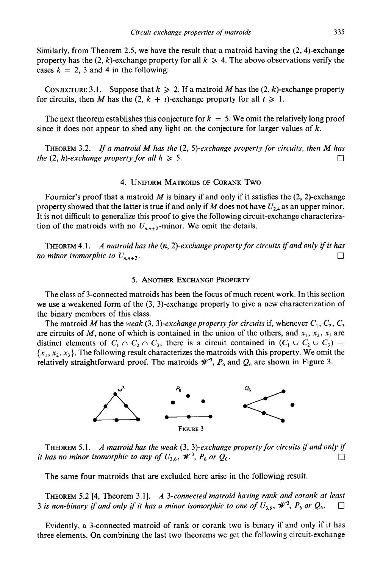Similarly, from Theorem 2.5, we have the result that a matroid having the (2, 4)-exchange property has the  $(2, k)$ -exchange property for all  $k \geq 4$ . The above observations verify the cases  $k = 2$ , 3 and 4 in the following:

CONJECTURE 3.1. Suppose that  $k \ge 2$ . If a matroid M has the (2, k)-exchange property for circuits, then *M* has the  $(2, k + t)$ -exchange property for all  $t \ge 1$ .

The next theorem establishes this conjecture for  $k = 5$ . We omit the relatively long proof since it does not appear to shed any light on the conjecture for larger values of *k.*

THEOREM 3.2. *If <sup>a</sup> matroid M has the* (2, *5)-exchange property for circuits. then M has the* (2, *h*)-exchange property for all  $h \ge 5$ .

#### 4. UNIFORM MATROIDS OF CORANK Two

Fournier's proof that a matroid  $M$  is binary if and only if it satisfies the  $(2, 2)$ -exchange property showed that the latter is true if and only if *M* does not have  $U_{24}$  as an upper minor. It is not difficult to generalize this proof to give the following circuit-exchange characterization of the matroids with no  $U_{n,n+2}$ -minor. We omit the details.

THEOREM 4.1. *A matroid has the (n, 2)-exchange property for circuits ifand only ifit has no minor isomorphic to*  $U_{n,n+2}$ *.* 

### 5. ANOTHER EXCHANGE PROPERTY

The class of 3-connected matroids has been the focus of much recent work. In this section we use a weakened form of the (3, 3)-exchange property to give a new characterization of the binary members of this class.

The matroid M has the weak (3, 3)-exchange property for circuits if, whenever  $C_1, C_2, C_3$ are circuits of *M*, none of which is contained in the union of the others, and  $x_1, x_2, x_3$  are distinct elements of  $C_1 \cap C_2 \cap C_3$ , there is a circuit contained in  $(C_1 \cup C_2 \cup C_3)$  - ${x_1, x_2, x_3}$ . The following result characterizes the matroids with this property. We omit the relatively straightforward proof. The matroids  $\mathcal{W}^3$ ,  $P_6$  and  $Q_6$  are shown in Figure 3.



THEOREM 5.1. *A matroid has the weak* (3, *3)-exchange property for circuits ifand only if it has no minor isomorphic to any of*  $U_{3,6}$ ,  $\mathscr{W}^3$ ,  $P_6$  or  $Q_6$ .

The same four matroids that are excluded here arise in the following result.

THEOREM 5.2 [4, Theorem 3.1]. *A 3-connected matroid having rank and corank at least* 3 is non-binary if and only if it has a minor isomorphic to one of  $U_{3,6}$ ,  $\mathcal{W}^3$ ,  $P_6$  or  $Q_6$ .  $\Box$ 

Evidently, a 3-connected matroid of rank or corank two is binary if and only if it has three elements. On combining the last two theorems we get the following circuit-exchange